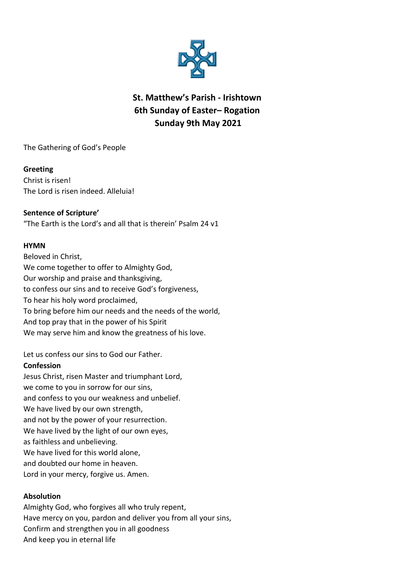

# **St. Matthew's Parish - Irishtown 6th Sunday of Easter– Rogation Sunday 9th May 2021**

The Gathering of God's People

### **Greeting**

Christ is risen! The Lord is risen indeed. Alleluia!

## **Sentence of Scripture'**

"The Earth is the Lord's and all that is therein' Psalm 24 v1

#### **HYMN**

Beloved in Christ, We come together to offer to Almighty God, Our worship and praise and thanksgiving, to confess our sins and to receive God's forgiveness, To hear his holy word proclaimed, To bring before him our needs and the needs of the world, And top pray that in the power of his Spirit We may serve him and know the greatness of his love.

Let us confess our sins to God our Father.

#### **Confession**

Jesus Christ, risen Master and triumphant Lord, we come to you in sorrow for our sins, and confess to you our weakness and unbelief. We have lived by our own strength, and not by the power of your resurrection. We have lived by the light of our own eyes, as faithless and unbelieving. We have lived for this world alone. and doubted our home in heaven. Lord in your mercy, forgive us. Amen.

#### **Absolution**

Almighty God, who forgives all who truly repent, Have mercy on you, pardon and deliver you from all your sins, Confirm and strengthen you in all goodness And keep you in eternal life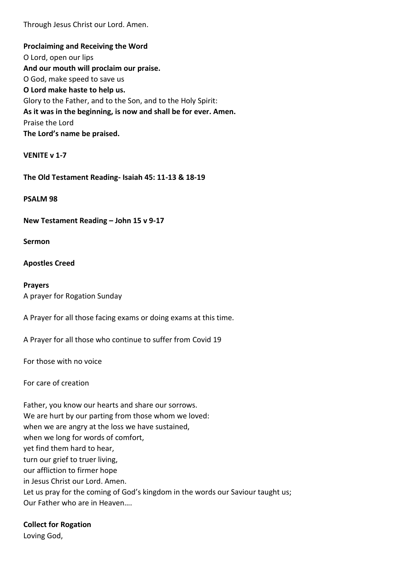Through Jesus Christ our Lord. Amen.

**Proclaiming and Receiving the Word** O Lord, open our lips **And our mouth will proclaim our praise.** O God, make speed to save us **O Lord make haste to help us.** Glory to the Father, and to the Son, and to the Holy Spirit: **As it was in the beginning, is now and shall be for ever. Amen.** Praise the Lord **The Lord's name be praised.**

**VENITE v 1-7**

**The Old Testament Reading- Isaiah 45: 11-13 & 18-19**

**PSALM 98**

**New Testament Reading – John 15 v 9-17**

**Sermon**

**Apostles Creed**

**Prayers** A prayer for Rogation Sunday

A Prayer for all those facing exams or doing exams at this time.

A Prayer for all those who continue to suffer from Covid 19

For those with no voice

For care of creation

Father, you know our hearts and share our sorrows. We are hurt by our parting from those whom we loved: when we are angry at the loss we have sustained, when we long for words of comfort, yet find them hard to hear, turn our grief to truer living, our affliction to firmer hope in Jesus Christ our Lord. Amen. Let us pray for the coming of God's kingdom in the words our Saviour taught us; Our Father who are in Heaven….

**Collect for Rogation** 

Loving God,